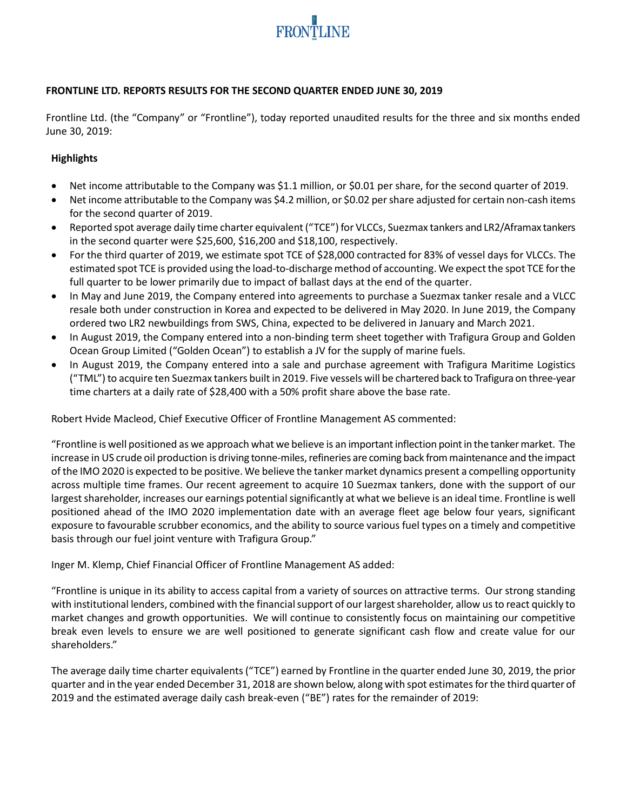

### **FRONTLINE LTD. REPORTS RESULTS FOR THE SECOND QUARTER ENDED JUNE 30, 2019**

Frontline Ltd. (the "Company" or "Frontline"), today reported unaudited results for the three and six months ended June 30, 2019:

#### **Highlights**

- Net income attributable to the Company was \$1.1 million, or \$0.01 per share, for the second quarter of 2019.
- Net income attributable to the Company was \$4.2 million, or \$0.02 per share adjusted for certain non-cash items for the second quarter of 2019.
- Reported spot average daily time charter equivalent ("TCE") for VLCCs, Suezmax tankers and LR2/Aframax tankers in the second quarter were \$25,600, \$16,200 and \$18,100, respectively.
- For the third quarter of 2019, we estimate spot TCE of \$28,000 contracted for 83% of vessel days for VLCCs. The estimated spot TCE is provided using the load-to-discharge method of accounting. We expect the spot TCE for the full quarter to be lower primarily due to impact of ballast days at the end of the quarter.
- In May and June 2019, the Company entered into agreements to purchase a Suezmax tanker resale and a VLCC resale both under construction in Korea and expected to be delivered in May 2020. In June 2019, the Company ordered two LR2 newbuildings from SWS, China, expected to be delivered in January and March 2021.
- In August 2019, the Company entered into a non-binding term sheet together with Trafigura Group and Golden Ocean Group Limited ("Golden Ocean") to establish a JV for the supply of marine fuels.
- In August 2019, the Company entered into a sale and purchase agreement with Trafigura Maritime Logistics ("TML") to acquire ten Suezmax tankers built in 2019. Five vessels will be chartered back to Trafigura on three-year time charters at a daily rate of \$28,400 with a 50% profit share above the base rate.

Robert Hvide Macleod, Chief Executive Officer of Frontline Management AS commented:

"Frontline is well positioned as we approach what we believe is an important inflection point in the tanker market. The increase in US crude oil production is driving tonne-miles, refineries are coming back from maintenance and the impact of the IMO 2020 is expected to be positive. We believe the tanker market dynamics present a compelling opportunity across multiple time frames. Our recent agreement to acquire 10 Suezmax tankers, done with the support of our largest shareholder, increases our earnings potential significantly at what we believe is an ideal time. Frontline is well positioned ahead of the IMO 2020 implementation date with an average fleet age below four years, significant exposure to favourable scrubber economics, and the ability to source various fuel types on a timely and competitive basis through our fuel joint venture with Trafigura Group."

Inger M. Klemp, Chief Financial Officer of Frontline Management AS added:

"Frontline is unique in its ability to access capital from a variety of sources on attractive terms. Our strong standing with institutional lenders, combined with the financial support of our largest shareholder, allow us to react quickly to market changes and growth opportunities. We will continue to consistently focus on maintaining our competitive break even levels to ensure we are well positioned to generate significant cash flow and create value for our shareholders."

The average daily time charter equivalents ("TCE") earned by Frontline in the quarter ended June 30, 2019, the prior quarter and in the year ended December 31, 2018 are shown below, along with spot estimates for the third quarter of 2019 and the estimated average daily cash break-even ("BE") rates for the remainder of 2019: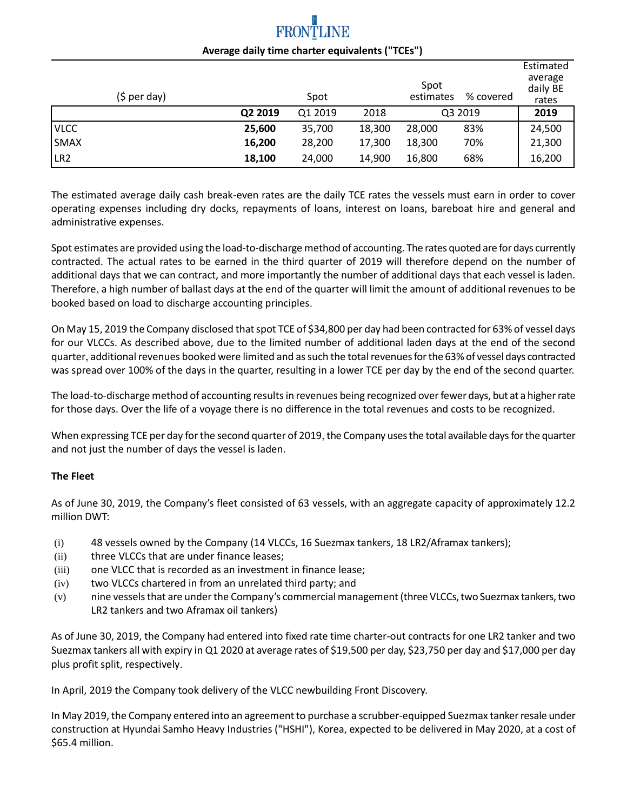# **Average daily time charter equivalents ("TCEs")**

| $(5 \text{ per day})$ |         | Spot    |        | Spot<br>estimates | % covered | Estimated<br>average<br>daily BE<br>rates |
|-----------------------|---------|---------|--------|-------------------|-----------|-------------------------------------------|
|                       | Q2 2019 | Q1 2019 | 2018   |                   | Q3 2019   | 2019                                      |
| <b>VLCC</b>           | 25,600  | 35,700  | 18,300 | 28,000            | 83%       | 24,500                                    |
| <b>SMAX</b>           | 16,200  | 28,200  | 17,300 | 18,300            | 70%       | 21,300                                    |
| LR <sub>2</sub>       | 18,100  | 24,000  | 14,900 | 16,800            | 68%       | 16,200                                    |

The estimated average daily cash break-even rates are the daily TCE rates the vessels must earn in order to cover operating expenses including dry docks, repayments of loans, interest on loans, bareboat hire and general and administrative expenses.

Spot estimates are provided using the load-to-discharge method of accounting. The rates quoted are for days currently contracted. The actual rates to be earned in the third quarter of 2019 will therefore depend on the number of additional days that we can contract, and more importantly the number of additional days that each vessel is laden. Therefore, a high number of ballast days at the end of the quarter will limit the amount of additional revenues to be booked based on load to discharge accounting principles.

On May 15, 2019 the Company disclosed that spot TCE of \$34,800 per day had been contracted for 63% of vessel days for our VLCCs. As described above, due to the limited number of additional laden days at the end of the second quarter, additional revenues booked were limited and as such the total revenues for the 63% of vessel days contracted was spread over 100% of the days in the quarter, resulting in a lower TCE per day by the end of the second quarter.

The load-to-discharge method of accounting results in revenues being recognized over fewer days, but at a higher rate for those days. Over the life of a voyage there is no difference in the total revenues and costs to be recognized.

When expressing TCE per day for the second quarter of 2019, the Company uses the total available days for the quarter and not just the number of days the vessel is laden.

# **The Fleet**

As of June 30, 2019, the Company's fleet consisted of 63 vessels, with an aggregate capacity of approximately 12.2 million DWT:

- (i) 48 vessels owned by the Company (14 VLCCs, 16 Suezmax tankers, 18 LR2/Aframax tankers);
- (ii) three VLCCs that are under finance leases;
- (iii) one VLCC that is recorded as an investment in finance lease;
- (iv) two VLCCs chartered in from an unrelated third party; and
- (v) nine vessels that are under the Company's commercial management (three VLCCs, two Suezmax tankers, two LR2 tankers and two Aframax oil tankers)

As of June 30, 2019, the Company had entered into fixed rate time charter-out contracts for one LR2 tanker and two Suezmax tankers all with expiry in Q1 2020 at average rates of \$19,500 per day, \$23,750 per day and \$17,000 per day plus profit split, respectively.

In April, 2019 the Company took delivery of the VLCC newbuilding Front Discovery.

In May 2019, the Company entered into an agreement to purchase a scrubber-equipped Suezmax tanker resale under construction at Hyundai Samho Heavy Industries ("HSHI"), Korea, expected to be delivered in May 2020, at a cost of \$65.4 million.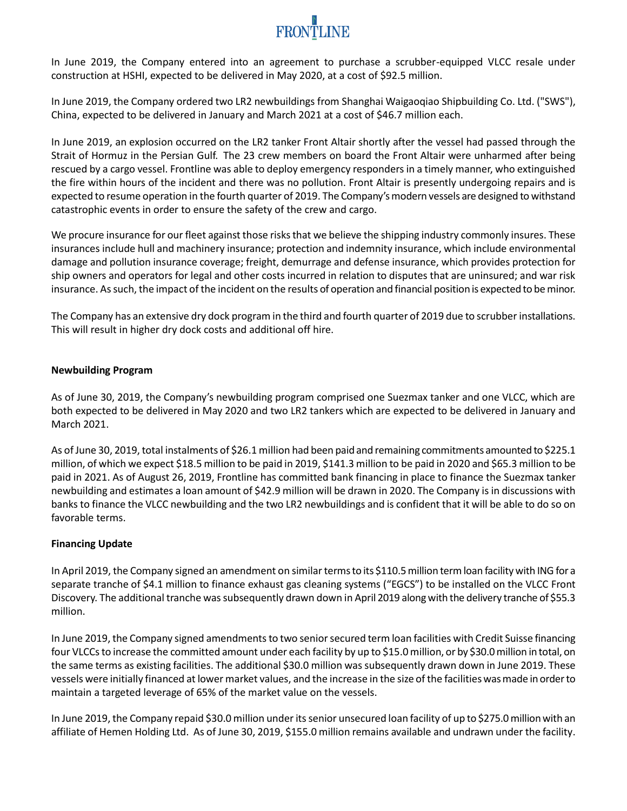In June 2019, the Company entered into an agreement to purchase a scrubber-equipped VLCC resale under construction at HSHI, expected to be delivered in May 2020, at a cost of \$92.5 million.

In June 2019, the Company ordered two LR2 newbuildings from Shanghai Waigaoqiao Shipbuilding Co. Ltd. ("SWS"), China, expected to be delivered in January and March 2021 at a cost of \$46.7 million each.

In June 2019, an explosion occurred on the LR2 tanker Front Altair shortly after the vessel had passed through the Strait of Hormuz in the Persian Gulf. The 23 crew members on board the Front Altair were unharmed after being rescued by a cargo vessel. Frontline was able to deploy emergency responders in a timely manner, who extinguished the fire within hours of the incident and there was no pollution. Front Altair is presently undergoing repairs and is expected to resume operation in the fourth quarter of 2019. The Company's modern vessels are designed to withstand catastrophic events in order to ensure the safety of the crew and cargo.

We procure insurance for our fleet against those risks that we believe the shipping industry commonly insures. These insurances include hull and machinery insurance; protection and indemnity insurance, which include environmental damage and pollution insurance coverage; freight, demurrage and defense insurance, which provides protection for ship owners and operators for legal and other costs incurred in relation to disputes that are uninsured; and war risk insurance. As such, the impact of the incident on the results of operation and financial position is expected to be minor.

The Company has an extensive dry dock program in the third and fourth quarter of 2019 due to scrubber installations. This will result in higher dry dock costs and additional off hire.

## **Newbuilding Program**

As of June 30, 2019, the Company's newbuilding program comprised one Suezmax tanker and one VLCC, which are both expected to be delivered in May 2020 and two LR2 tankers which are expected to be delivered in January and March 2021.

As of June 30, 2019, total instalments of \$26.1 million had been paid and remaining commitments amounted to \$225.1 million, of which we expect \$18.5 million to be paid in 2019, \$141.3 million to be paid in 2020 and \$65.3 million to be paid in 2021. As of August 26, 2019, Frontline has committed bank financing in place to finance the Suezmax tanker newbuilding and estimates a loan amount of \$42.9 million will be drawn in 2020. The Company is in discussions with banks to finance the VLCC newbuilding and the two LR2 newbuildings and is confident that it will be able to do so on favorable terms.

# **Financing Update**

In April 2019, the Company signed an amendment on similar terms to its \$110.5 million term loan facility with ING for a separate tranche of \$4.1 million to finance exhaust gas cleaning systems ("EGCS") to be installed on the VLCC Front Discovery. The additional tranche was subsequently drawn down in April 2019 along with the delivery tranche of \$55.3 million.

In June 2019, the Company signed amendments to two senior secured term loan facilities with Credit Suisse financing four VLCCs to increase the committed amount under each facility by up to \$15.0 million, or by \$30.0 million in total, on the same terms as existing facilities. The additional \$30.0 million was subsequently drawn down in June 2019. These vessels were initially financed at lower market values, and the increase in the size of the facilities wasmade in order to maintain a targeted leverage of 65% of the market value on the vessels.

In June 2019, the Company repaid \$30.0 million under its senior unsecured loan facility of up to \$275.0 million with an affiliate of Hemen Holding Ltd. As of June 30, 2019, \$155.0 million remains available and undrawn under the facility.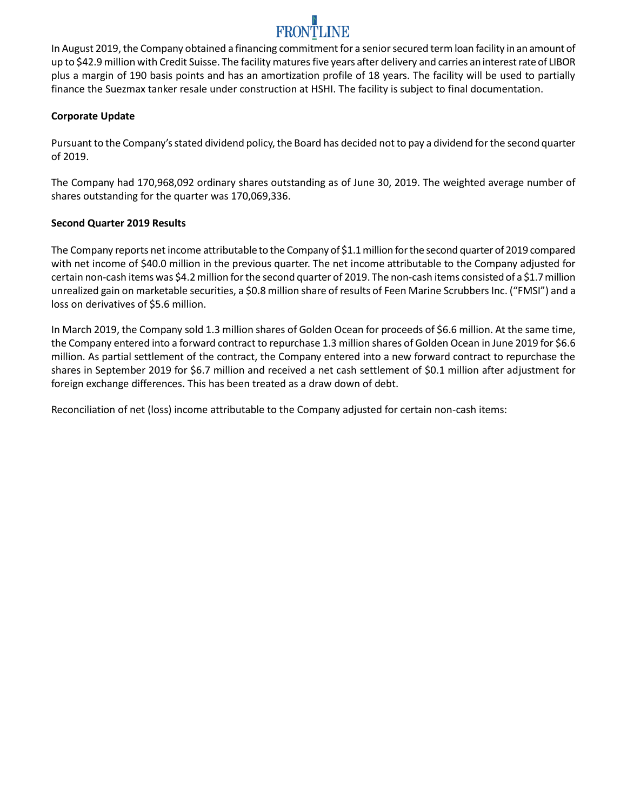

In August 2019, the Company obtained a financing commitment for a senior secured term loan facility in an amount of up to \$42.9 million with Credit Suisse. The facility matures five years after delivery and carries an interest rate of LIBOR plus a margin of 190 basis points and has an amortization profile of 18 years. The facility will be used to partially finance the Suezmax tanker resale under construction at HSHI. The facility is subject to final documentation.

## **Corporate Update**

Pursuant to the Company's stated dividend policy, the Board has decided not to pay a dividend for the second quarter of 2019.

The Company had 170,968,092 ordinary shares outstanding as of June 30, 2019. The weighted average number of shares outstanding for the quarter was 170,069,336.

## **Second Quarter 2019 Results**

The Company reports net income attributable to the Company of \$1.1 million for the second quarter of 2019 compared with net income of \$40.0 million in the previous quarter. The net income attributable to the Company adjusted for certain non-cash items was \$4.2million for the second quarter of 2019. The non-cash items consisted of a \$1.7 million unrealized gain on marketable securities, a \$0.8 million share of results of Feen Marine Scrubbers Inc. ("FMSI") and a loss on derivatives of \$5.6 million.

In March 2019, the Company sold 1.3 million shares of Golden Ocean for proceeds of \$6.6 million. At the same time, the Company entered into a forward contract to repurchase 1.3 million shares of Golden Ocean in June 2019 for \$6.6 million. As partial settlement of the contract, the Company entered into a new forward contract to repurchase the shares in September 2019 for \$6.7 million and received a net cash settlement of \$0.1 million after adjustment for foreign exchange differences. This has been treated as a draw down of debt.

Reconciliation of net (loss) income attributable to the Company adjusted for certain non-cash items: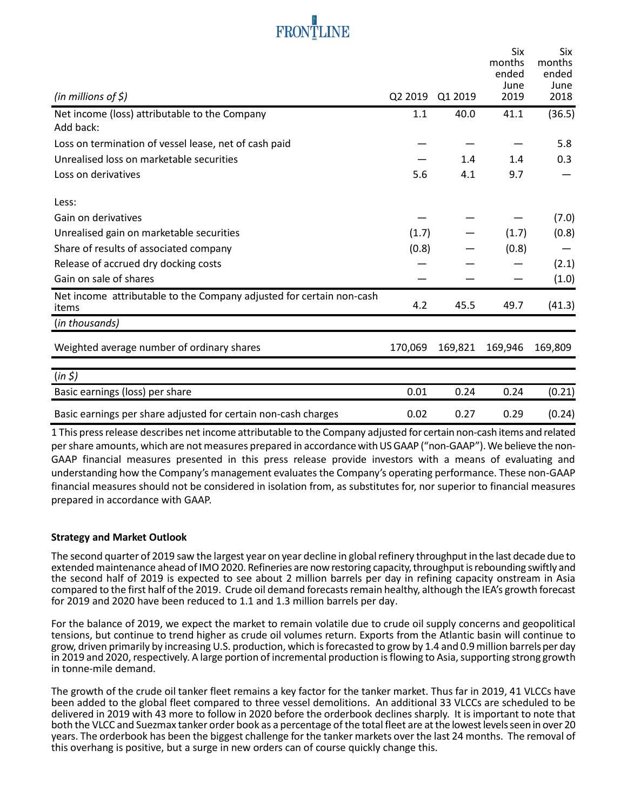|                                                                               |         |         | Six<br>months<br>ended<br>June | Six<br>months<br>ended<br>June |
|-------------------------------------------------------------------------------|---------|---------|--------------------------------|--------------------------------|
| (in millions of $\zeta$ )                                                     | Q2 2019 | Q1 2019 | 2019                           | 2018                           |
| Net income (loss) attributable to the Company<br>Add back:                    | 1.1     | 40.0    | 41.1                           | (36.5)                         |
| Loss on termination of vessel lease, net of cash paid                         |         |         |                                | 5.8                            |
| Unrealised loss on marketable securities                                      |         | 1.4     | 1.4                            | 0.3                            |
| Loss on derivatives                                                           | 5.6     | 4.1     | 9.7                            |                                |
| Less:                                                                         |         |         |                                |                                |
| Gain on derivatives                                                           |         |         |                                | (7.0)                          |
| Unrealised gain on marketable securities                                      | (1.7)   |         | (1.7)                          | (0.8)                          |
| Share of results of associated company                                        | (0.8)   |         | (0.8)                          |                                |
| Release of accrued dry docking costs                                          |         |         |                                | (2.1)                          |
| Gain on sale of shares                                                        |         |         |                                | (1.0)                          |
| Net income attributable to the Company adjusted for certain non-cash<br>items | 4.2     | 45.5    | 49.7                           | (41.3)                         |
| (in thousands)                                                                |         |         |                                |                                |
| Weighted average number of ordinary shares                                    | 170,069 | 169,821 | 169,946                        | 169,809                        |
| (in 5)                                                                        |         |         |                                |                                |
| Basic earnings (loss) per share                                               | 0.01    | 0.24    | 0.24                           | (0.21)                         |
| Basic earnings per share adjusted for certain non-cash charges                | 0.02    | 0.27    | 0.29                           | (0.24)                         |

1 This press release describes net income attributable to the Company adjusted for certain non-cash items and related per share amounts, which are not measures prepared in accordance with US GAAP ("non-GAAP"). We believe the non-GAAP financial measures presented in this press release provide investors with a means of evaluating and understanding how the Company's management evaluates the Company's operating performance. These non-GAAP financial measures should not be considered in isolation from, as substitutes for, nor superior to financial measures prepared in accordance with GAAP.

## **Strategy and Market Outlook**

The second quarter of 2019 saw the largest year on year decline in global refinery throughput in the last decade due to extended maintenance ahead of IMO 2020. Refineries are now restoring capacity, throughput is rebounding swiftly and the second half of 2019 is expected to see about 2 million barrels per day in refining capacity onstream in Asia compared to the first half of the 2019. Crude oil demand forecasts remain healthy, although the IEA's growth forecast for 2019 and 2020 have been reduced to 1.1 and 1.3 million barrels per day.

For the balance of 2019, we expect the market to remain volatile due to crude oil supply concerns and geopolitical tensions, but continue to trend higher as crude oil volumes return. Exports from the Atlantic basin will continue to grow, driven primarily by increasing U.S. production, which is forecasted to grow by 1.4 and 0.9 million barrels per day in 2019 and 2020, respectively. A large portion of incremental production is flowing to Asia, supporting strong growth in tonne-mile demand.

The growth of the crude oil tanker fleet remains a key factor for the tanker market. Thus far in 2019, 41 VLCCs have been added to the global fleet compared to three vessel demolitions. An additional 33 VLCCs are scheduled to be delivered in 2019 with 43 more to follow in 2020 before the orderbook declines sharply. It is important to note that both the VLCC and Suezmax tanker order book as a percentage of the total fleet are at the lowest levelsseen in over 20 years. The orderbook has been the biggest challenge for the tanker markets over the last 24 months. The removal of this overhang is positive, but a surge in new orders can of course quickly change this.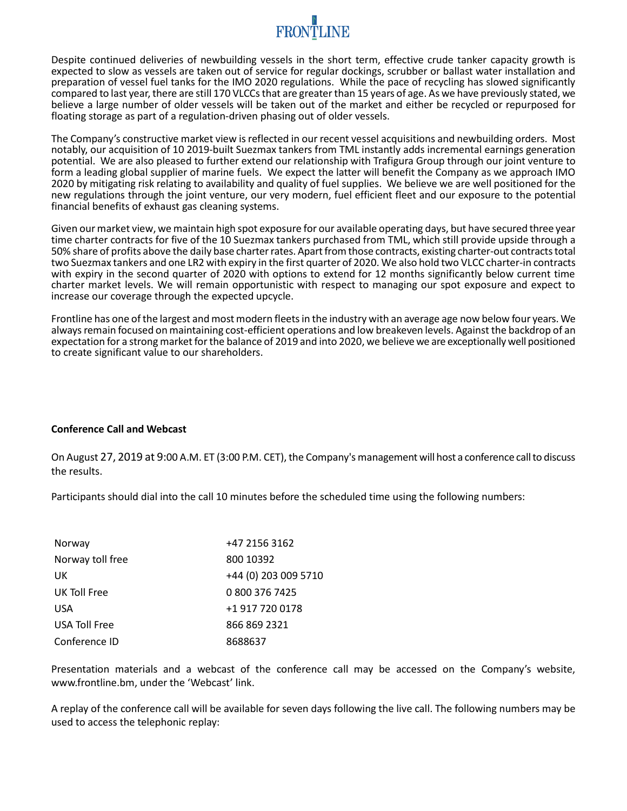

Despite continued deliveries of newbuilding vessels in the short term, effective crude tanker capacity growth is expected to slow as vessels are taken out of service for regular dockings, scrubber or ballast water installation and preparation of vessel fuel tanks for the IMO 2020 regulations. While the pace of recycling has slowed significantly compared to last year, there are still 170 VLCCs that are greater than 15 years of age. As we have previously stated, we believe a large number of older vessels will be taken out of the market and either be recycled or repurposed for floating storage as part of a regulation-driven phasing out of older vessels.

The Company's constructive market view is reflected in our recent vessel acquisitions and newbuilding orders. Most notably, our acquisition of 10 2019-built Suezmax tankers from TML instantly adds incremental earnings generation potential. We are also pleased to further extend our relationship with Trafigura Group through our joint venture to form a leading global supplier of marine fuels. We expect the latter will benefit the Company as we approach IMO 2020 by mitigating risk relating to availability and quality of fuel supplies. We believe we are well positioned for the new regulations through the joint venture, our very modern, fuel efficient fleet and our exposure to the potential financial benefits of exhaust gas cleaning systems.

Given our market view, we maintain high spot exposure for our available operating days, but have secured three year time charter contracts for five of the 10 Suezmax tankers purchased from TML, which still provide upside through a 50% share of profits above the daily base charter rates. Apart from those contracts, existing charter-out contracts total two Suezmax tankers and one LR2 with expiry in the first quarter of 2020. We also hold two VLCC charter-in contracts with expiry in the second quarter of 2020 with options to extend for 12 months significantly below current time charter market levels. We will remain opportunistic with respect to managing our spot exposure and expect to increase our coverage through the expected upcycle.

Frontline has one of the largest and most modern fleets in the industry with an average age now below four years. We always remain focused on maintaining cost-efficient operations and low breakeven levels. Against the backdrop of an expectation for a strong market for the balance of 2019 and into 2020, we believe we are exceptionally well positioned to create significant value to our shareholders.

#### **Conference Call and Webcast**

On August 27, 2019 at 9:00 A.M. ET (3:00 P.M. CET), the Company's management will host a conference call to discuss the results.

Participants should dial into the call 10 minutes before the scheduled time using the following numbers:

| Norway           | +47 2156 3162        |
|------------------|----------------------|
| Norway toll free | 800 10392            |
| UK               | +44 (0) 203 009 5710 |
| UK Toll Free     | 0.800.376.7425       |
| USA.             | +1 917 720 0178      |
| USA Toll Free    | 866 869 2321         |
| Conference ID    | 8688637              |

Presentation materials and a webcast of the conference call may be accessed on the Company's website, www.frontline.bm, under the 'Webcast' link.

A replay of the conference call will be available for seven days following the live call. The following numbers may be used to access the telephonic replay: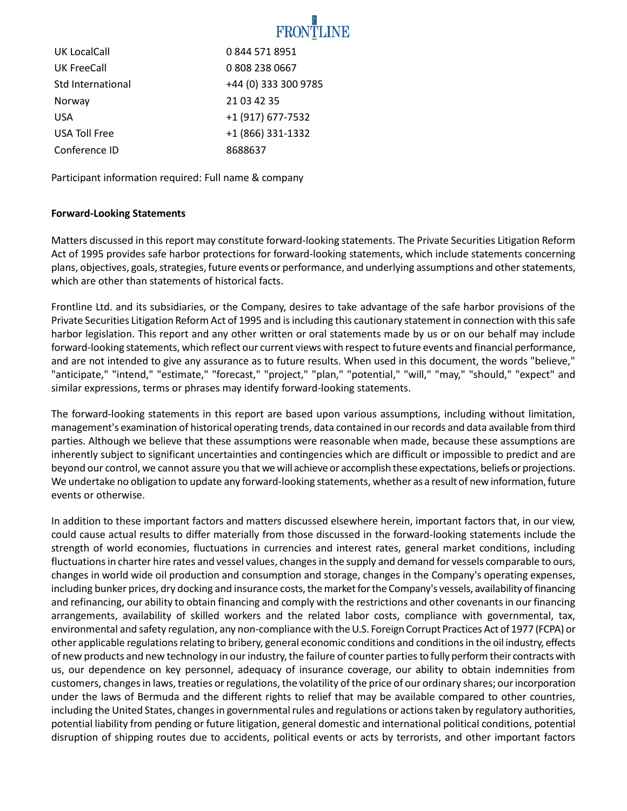

| <b>UK LocalCall</b> | 08445718951          |
|---------------------|----------------------|
| <b>UK FreeCall</b>  | 0 808 238 0667       |
| Std International   | +44 (0) 333 300 9785 |
| Norway              | 21 03 42 35          |
| <b>USA</b>          | +1 (917) 677-7532    |
| USA Toll Free       | +1 (866) 331-1332    |
| Conference ID       | 8688637              |

Participant information required: Full name & company

## **Forward-Looking Statements**

Matters discussed in this report may constitute forward-looking statements. The Private Securities Litigation Reform Act of 1995 provides safe harbor protections for forward-looking statements, which include statements concerning plans, objectives, goals, strategies, future events or performance, and underlying assumptions and other statements, which are other than statements of historical facts.

Frontline Ltd. and its subsidiaries, or the Company, desires to take advantage of the safe harbor provisions of the Private Securities Litigation Reform Act of 1995 and is including this cautionary statement in connection with this safe harbor legislation. This report and any other written or oral statements made by us or on our behalf may include forward-looking statements, which reflect our current views with respect to future events and financial performance, and are not intended to give any assurance as to future results. When used in this document, the words "believe," "anticipate," "intend," "estimate," "forecast," "project," "plan," "potential," "will," "may," "should," "expect" and similar expressions, terms or phrases may identify forward-looking statements.

The forward-looking statements in this report are based upon various assumptions, including without limitation, management's examination of historical operating trends, data contained in our records and data available from third parties. Although we believe that these assumptions were reasonable when made, because these assumptions are inherently subject to significant uncertainties and contingencies which are difficult or impossible to predict and are beyond our control, we cannot assure you that we will achieve or accomplish these expectations, beliefs or projections. We undertake no obligation to update any forward-looking statements, whether as a result of new information, future events or otherwise.

In addition to these important factors and matters discussed elsewhere herein, important factors that, in our view, could cause actual results to differ materially from those discussed in the forward-looking statements include the strength of world economies, fluctuations in currencies and interest rates, general market conditions, including fluctuations in charter hire rates and vessel values, changes in the supply and demand for vessels comparable to ours, changes in world wide oil production and consumption and storage, changes in the Company's operating expenses, including bunker prices, dry docking and insurance costs, the market for the Company's vessels, availability of financing and refinancing, our ability to obtain financing and comply with the restrictions and other covenants in our financing arrangements, availability of skilled workers and the related labor costs, compliance with governmental, tax, environmental and safety regulation, any non-compliance with the U.S. Foreign Corrupt Practices Act of 1977 (FCPA) or other applicable regulations relating to bribery, general economic conditions and conditions in the oil industry, effects of new products and new technology in our industry, the failure of counter parties to fully perform their contracts with us, our dependence on key personnel, adequacy of insurance coverage, our ability to obtain indemnities from customers, changes in laws, treaties or regulations, the volatility of the price of our ordinary shares; our incorporation under the laws of Bermuda and the different rights to relief that may be available compared to other countries, including the United States, changes in governmental rules and regulations or actions taken by regulatory authorities, potential liability from pending or future litigation, general domestic and international political conditions, potential disruption of shipping routes due to accidents, political events or acts by terrorists, and other important factors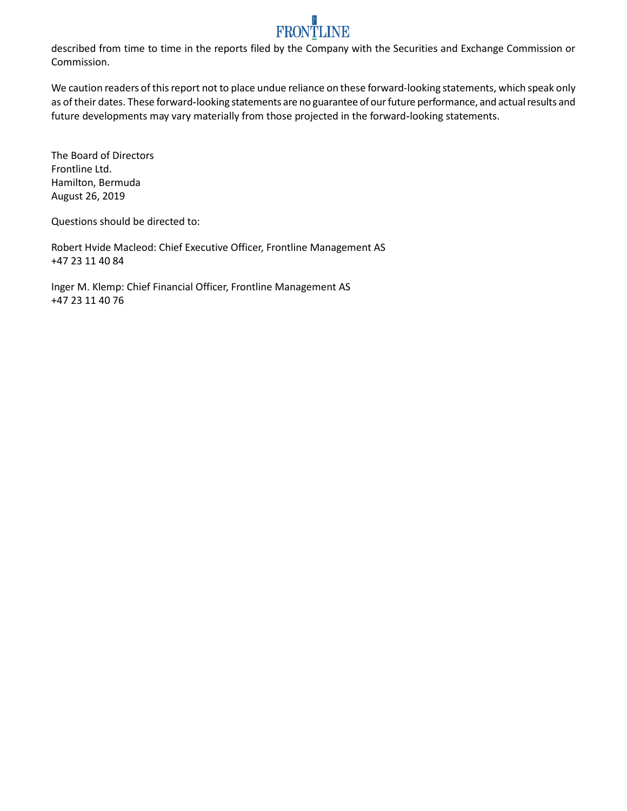

described from time to time in the reports filed by the Company with the Securities and Exchange Commission or Commission.

We caution readers of this report not to place undue reliance on these forward-looking statements, which speak only as of their dates. These forward-looking statements are no guarantee of our future performance, and actual results and future developments may vary materially from those projected in the forward-looking statements.

The Board of Directors Frontline Ltd. Hamilton, Bermuda August 26, 2019

Questions should be directed to:

Robert Hvide Macleod: Chief Executive Officer, Frontline Management AS +47 23 11 40 84

Inger M. Klemp: Chief Financial Officer, Frontline Management AS +47 23 11 40 76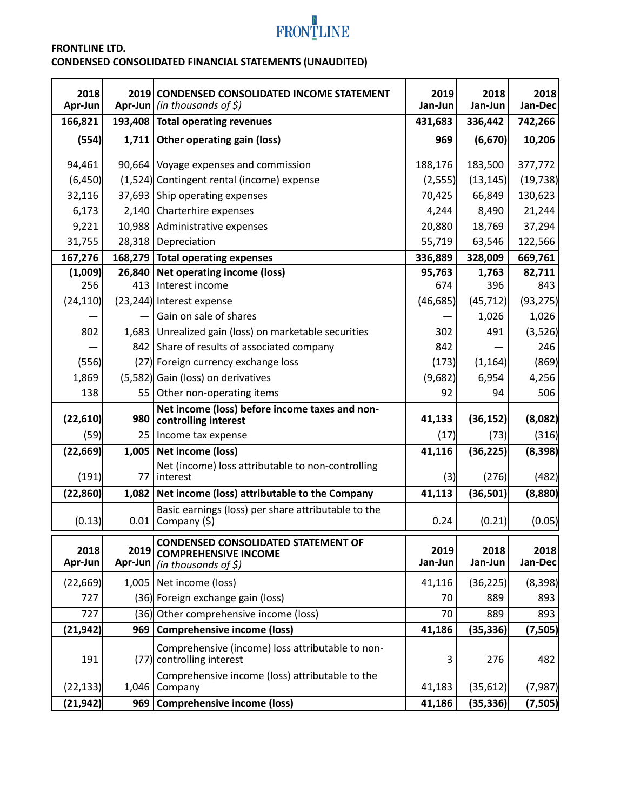

| 2018<br>Apr-Jun |                 | 2019 CONDENSED CONSOLIDATED INCOME STATEMENT<br>Apr-Jun $(in thousands of $)$                           | 2019<br>Jan-Jun | 2018<br>Jan-Jun | 2018<br>Jan-Dec |
|-----------------|-----------------|---------------------------------------------------------------------------------------------------------|-----------------|-----------------|-----------------|
| 166,821         |                 | 193,408 Total operating revenues                                                                        | 431,683         | 336,442         | 742,266         |
| (554)           | 1,711           | Other operating gain (loss)                                                                             | 969             | (6,670)         | 10,206          |
| 94,461          |                 | 90,664 Voyage expenses and commission                                                                   | 188,176         | 183,500         | 377,772         |
| (6, 450)        |                 | (1,524) Contingent rental (income) expense                                                              | (2, 555)        | (13, 145)       | (19, 738)       |
| 32,116          |                 | 37,693 Ship operating expenses                                                                          | 70,425          | 66,849          | 130,623         |
| 6,173           | 2,140           | Charterhire expenses                                                                                    | 4,244           | 8,490           | 21,244          |
| 9,221           |                 | 10,988 Administrative expenses                                                                          | 20,880          | 18,769          | 37,294          |
| 31,755          | 28,318          | Depreciation                                                                                            | 55,719          | 63,546          | 122,566         |
| 167,276         |                 | 168,279 Total operating expenses                                                                        | 336,889         | 328,009         | 669,761         |
| (1,009)         | 26,840          | <b>Net operating income (loss)</b>                                                                      | 95,763          | 1,763           | 82,711          |
| 256             |                 | 413 Interest income                                                                                     | 674             | 396             | 843             |
| (24, 110)       |                 | (23,244) Interest expense                                                                               | (46, 685)       | (45, 712)       | (93, 275)       |
|                 |                 | Gain on sale of shares                                                                                  |                 | 1,026           | 1,026           |
| 802             | 1,683           | Unrealized gain (loss) on marketable securities                                                         | 302             | 491             | (3,526)         |
|                 |                 | 842 Share of results of associated company                                                              | 842             |                 | 246             |
| (556)           |                 | (27) Foreign currency exchange loss                                                                     | (173)           | (1, 164)        | (869)           |
| 1,869           |                 | (5,582) Gain (loss) on derivatives                                                                      | (9,682)         | 6,954           | 4,256           |
| 138             | 55 I            | Other non-operating items                                                                               | 92              | 94              | 506             |
| (22, 610)       | 980             | Net income (loss) before income taxes and non-<br>controlling interest                                  | 41,133          | (36, 152)       | (8,082)         |
| (59)            |                 | 25 Income tax expense                                                                                   | (17)            | (73)            | (316)           |
| (22, 669)       | 1,005           | Net income (loss)                                                                                       | 41,116          | (36, 225)       | (8, 398)        |
| (191)           | 77              | Net (income) loss attributable to non-controlling<br>interest                                           | (3)             | (276)           | (482)           |
| (22, 860)       | 1,082           | Net income (loss) attributable to the Company                                                           | 41,113          | (36, 501)       | (8,880)         |
| (0.13)          | 0.01            | Basic earnings (loss) per share attributable to the<br>Company (\$)                                     | 0.24            | (0.21)          | (0.05)          |
| 2018<br>Apr-Jun | 2019<br>Apr-Jun | <b>CONDENSED CONSOLIDATED STATEMENT OF</b><br><b>COMPREHENSIVE INCOME</b><br>(in thousands of $\zeta$ ) | 2019<br>Jan-Jun | 2018<br>Jan-Jun | 2018<br>Jan-Dec |
| (22, 669)       |                 | 1,005 Net income (loss)                                                                                 | 41,116          | (36, 225)       | (8, 398)        |
| 727             |                 | (36) Foreign exchange gain (loss)                                                                       | 70              | 889             | 893             |
| 727             |                 | (36) Other comprehensive income (loss)                                                                  | 70              | 889             | 893             |
| (21, 942)       | 969             | <b>Comprehensive income (loss)</b>                                                                      | 41,186          | (35, 336)       | (7, 505)        |
| 191             |                 | Comprehensive (income) loss attributable to non-<br>(77) controlling interest                           | 3               | 276             | 482             |
| (22, 133)       | 1,046           | Comprehensive income (loss) attributable to the<br>Company                                              | 41,183          | (35, 612)       | (7, 987)        |
| (21, 942)       |                 | 969 Comprehensive income (loss)                                                                         | 41,186          | (35, 336)       | (7,505)         |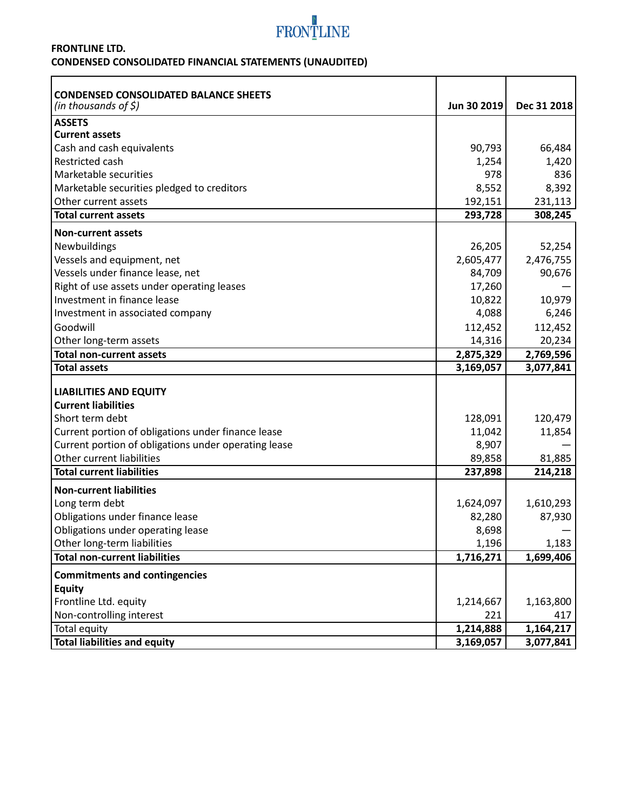

| <b>CONDENSED CONSOLIDATED BALANCE SHEETS</b>                        |                    |                    |
|---------------------------------------------------------------------|--------------------|--------------------|
| (in thousands of $\zeta$ )                                          | Jun 30 2019        | Dec 31 2018        |
| <b>ASSETS</b>                                                       |                    |                    |
| <b>Current assets</b>                                               |                    |                    |
| Cash and cash equivalents                                           | 90,793             | 66,484             |
| Restricted cash                                                     | 1,254              | 1,420              |
| Marketable securities                                               | 978                | 836                |
| Marketable securities pledged to creditors                          | 8,552              | 8,392              |
| Other current assets                                                | 192,151            | 231,113            |
| <b>Total current assets</b>                                         | 293,728            | 308,245            |
| <b>Non-current assets</b>                                           |                    |                    |
| Newbuildings                                                        | 26,205             | 52,254             |
| Vessels and equipment, net                                          | 2,605,477          | 2,476,755          |
| Vessels under finance lease, net                                    | 84,709             | 90,676             |
| Right of use assets under operating leases                          | 17,260             |                    |
| Investment in finance lease                                         | 10,822             | 10,979             |
| Investment in associated company                                    | 4,088              | 6,246              |
| Goodwill                                                            | 112,452            | 112,452            |
| Other long-term assets                                              | 14,316             | 20,234             |
| <b>Total non-current assets</b>                                     | 2,875,329          | 2,769,596          |
| <b>Total assets</b>                                                 | 3,169,057          | 3,077,841          |
|                                                                     |                    |                    |
| <b>LIABILITIES AND EQUITY</b><br><b>Current liabilities</b>         |                    |                    |
| Short term debt                                                     | 128,091            | 120,479            |
| Current portion of obligations under finance lease                  | 11,042             | 11,854             |
| Current portion of obligations under operating lease                | 8,907              |                    |
| Other current liabilities                                           | 89,858             | 81,885             |
| <b>Total current liabilities</b>                                    | 237,898            | 214,218            |
|                                                                     |                    |                    |
| <b>Non-current liabilities</b>                                      |                    |                    |
| Long term debt                                                      | 1,624,097          | 1,610,293          |
| Obligations under finance lease                                     | 82,280             | 87,930             |
| Obligations under operating lease                                   | 8,698              |                    |
| Other long-term liabilities<br><b>Total non-current liabilities</b> | 1,196<br>1,716,271 | 1,183<br>1,699,406 |
|                                                                     |                    |                    |
| <b>Commitments and contingencies</b>                                |                    |                    |
| <b>Equity</b>                                                       |                    |                    |
| Frontline Ltd. equity                                               | 1,214,667          | 1,163,800          |
| Non-controlling interest                                            | 221                | 417                |
| Total equity                                                        | 1,214,888          | 1,164,217          |
| <b>Total liabilities and equity</b>                                 | 3,169,057          | 3,077,841          |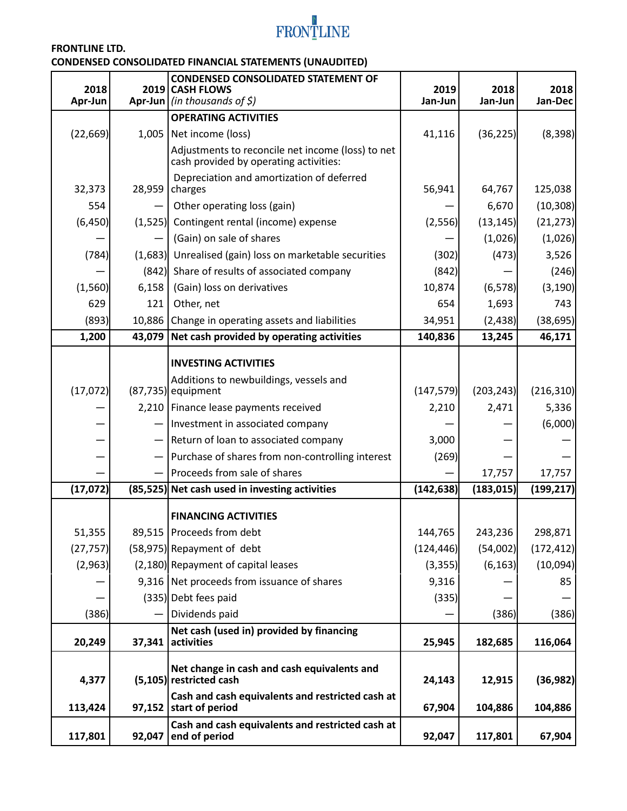

| 2018<br>Apr-Jun |        | <b>CONDENSED CONSOLIDATED STATEMENT OF</b><br>2019 CASH FLOWS<br>Apr-Jun $ $ (in thousands of \$) | 2019<br>Jan-Jun | 2018<br>Jan-Jun | 2018<br>Jan-Dec |
|-----------------|--------|---------------------------------------------------------------------------------------------------|-----------------|-----------------|-----------------|
|                 |        | <b>OPERATING ACTIVITIES</b>                                                                       |                 |                 |                 |
| (22, 669)       | 1,005  | Net income (loss)                                                                                 | 41,116          | (36, 225)       | (8, 398)        |
|                 |        | Adjustments to reconcile net income (loss) to net<br>cash provided by operating activities:       |                 |                 |                 |
|                 |        | Depreciation and amortization of deferred                                                         |                 |                 |                 |
| 32,373          | 28,959 | charges                                                                                           | 56,941          | 64,767          | 125,038         |
| 554             |        | Other operating loss (gain)                                                                       |                 | 6,670           | (10, 308)       |
| (6, 450)        |        | (1,525) Contingent rental (income) expense                                                        | (2, 556)        | (13, 145)       | (21, 273)       |
|                 |        | (Gain) on sale of shares                                                                          |                 | (1,026)         | (1,026)         |
| (784)           |        | (1,683) Unrealised (gain) loss on marketable securities                                           | (302)           | (473)           | 3,526           |
|                 |        | (842) Share of results of associated company                                                      | (842)           |                 | (246)           |
| (1, 560)        | 6,158  | (Gain) loss on derivatives                                                                        | 10,874          | (6, 578)        | (3, 190)        |
| 629             | 121    | Other, net                                                                                        | 654             | 1,693           | 743             |
| (893)           |        | 10,886 Change in operating assets and liabilities                                                 | 34,951          | (2, 438)        | (38, 695)       |
| 1,200           | 43,079 | Net cash provided by operating activities                                                         | 140,836         | 13,245          | 46,171          |
|                 |        | <b>INVESTING ACTIVITIES</b>                                                                       |                 |                 |                 |
| (17,072)        |        | Additions to newbuildings, vessels and<br>$(87, 735)$ equipment                                   | (147, 579)      | (203, 243)      | (216, 310)      |
|                 |        | 2,210 Finance lease payments received                                                             | 2,210           | 2,471           | 5,336           |
|                 |        | Investment in associated company                                                                  |                 |                 | (6,000)         |
|                 |        | Return of loan to associated company                                                              | 3,000           |                 |                 |
|                 |        | Purchase of shares from non-controlling interest                                                  | (269)           |                 |                 |
|                 |        | Proceeds from sale of shares                                                                      |                 | 17,757          | 17,757          |
| (17, 072)       |        | (85,525) Net cash used in investing activities                                                    | (142, 638)      | (183, 015)      | (199, 217)      |
|                 |        | <b>FINANCING ACTIVITIES</b>                                                                       |                 |                 |                 |
| 51,355          |        | 89,515   Proceeds from debt                                                                       | 144,765         | 243,236         | 298,871         |
| (27, 757)       |        | (58,975) Repayment of debt                                                                        | (124, 446)      | (54,002)        | (172, 412)      |
| (2,963)         |        | (2,180) Repayment of capital leases                                                               | (3, 355)        | (6, 163)        | (10,094)        |
|                 |        | 9,316 Net proceeds from issuance of shares                                                        | 9,316           |                 | 85              |
|                 |        | (335) Debt fees paid                                                                              | (335)           |                 |                 |
| (386)           |        | Dividends paid                                                                                    |                 | (386)           | (386)           |
|                 |        | Net cash (used in) provided by financing                                                          |                 |                 |                 |
| 20,249          | 37,341 | activities                                                                                        | 25,945          | 182,685         | 116,064         |
| 4,377           |        | Net change in cash and cash equivalents and<br>(5,105) restricted cash                            | 24,143          | 12,915          | (36, 982)       |
| 113,424         |        | Cash and cash equivalents and restricted cash at<br>97,152 start of period                        | 67,904          | 104,886         | 104,886         |
| 117,801         | 92,047 | Cash and cash equivalents and restricted cash at<br>end of period                                 | 92,047          | 117,801         | 67,904          |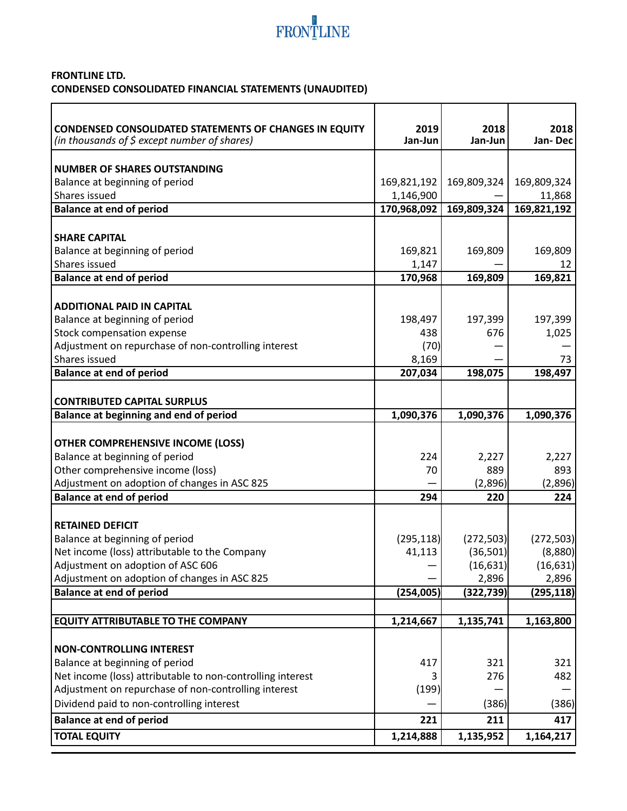

| <b>CONDENSED CONSOLIDATED STATEMENTS OF CHANGES IN EQUITY</b>                   | 2019        | 2018                | 2018        |
|---------------------------------------------------------------------------------|-------------|---------------------|-------------|
| (in thousands of $\frac{2}{5}$ except number of shares)                         | Jan-Jun     | Jan-Jun             | Jan-Dec     |
|                                                                                 |             |                     |             |
| <b>NUMBER OF SHARES OUTSTANDING</b>                                             |             |                     |             |
| Balance at beginning of period                                                  | 169,821,192 | 169,809,324         | 169,809,324 |
| Shares issued                                                                   | 1,146,900   |                     | 11,868      |
| <b>Balance at end of period</b>                                                 | 170,968,092 | 169,809,324         | 169,821,192 |
|                                                                                 |             |                     |             |
| <b>SHARE CAPITAL</b>                                                            |             |                     |             |
| Balance at beginning of period                                                  | 169,821     | 169,809             | 169,809     |
| Shares issued                                                                   | 1,147       |                     | 12          |
| <b>Balance at end of period</b>                                                 | 170,968     | 169,809             | 169,821     |
|                                                                                 |             |                     |             |
| <b>ADDITIONAL PAID IN CAPITAL</b>                                               |             |                     |             |
| Balance at beginning of period                                                  | 198,497     | 197,399             | 197,399     |
| Stock compensation expense                                                      | 438         | 676                 | 1,025       |
| Adjustment on repurchase of non-controlling interest                            | (70)        |                     |             |
| Shares issued                                                                   | 8,169       |                     | 73          |
| <b>Balance at end of period</b>                                                 | 207,034     | 198,075             | 198,497     |
|                                                                                 |             |                     |             |
| <b>CONTRIBUTED CAPITAL SURPLUS</b>                                              |             |                     |             |
| Balance at beginning and end of period                                          | 1,090,376   | 1,090,376           | 1,090,376   |
|                                                                                 |             |                     |             |
| OTHER COMPREHENSIVE INCOME (LOSS)                                               |             |                     |             |
| Balance at beginning of period                                                  | 224         | 2,227               | 2,227       |
| Other comprehensive income (loss)                                               | 70          | 889                 | 893         |
| Adjustment on adoption of changes in ASC 825                                    |             | (2,896)             | (2,896)     |
| <b>Balance at end of period</b>                                                 | 294         | 220                 | 224         |
|                                                                                 |             |                     |             |
| <b>RETAINED DEFICIT</b>                                                         |             |                     |             |
| Balance at beginning of period                                                  | (295, 118)  | (272, 503)          | (272, 503)  |
| Net income (loss) attributable to the Company                                   | 41,113      | (36, 501)           | (8,880)     |
| Adjustment on adoption of ASC 606                                               |             | (16, 631)           | (16, 631)   |
| Adjustment on adoption of changes in ASC 825<br><b>Balance at end of period</b> |             | 2,896<br>(322, 739) | 2,896       |
|                                                                                 | (254,005)   |                     | (295, 118)  |
| <b>EQUITY ATTRIBUTABLE TO THE COMPANY</b>                                       | 1,214,667   | 1,135,741           | 1,163,800   |
|                                                                                 |             |                     |             |
| <b>NON-CONTROLLING INTEREST</b>                                                 |             |                     |             |
| Balance at beginning of period                                                  | 417         | 321                 | 321         |
| Net income (loss) attributable to non-controlling interest                      | 3           | 276                 | 482         |
| Adjustment on repurchase of non-controlling interest                            | (199)       |                     |             |
| Dividend paid to non-controlling interest                                       |             | (386)               | (386)       |
|                                                                                 |             |                     |             |
| <b>Balance at end of period</b>                                                 | 221         | 211                 | 417         |
| <b>TOTAL EQUITY</b>                                                             | 1,214,888   | 1,135,952           | 1,164,217   |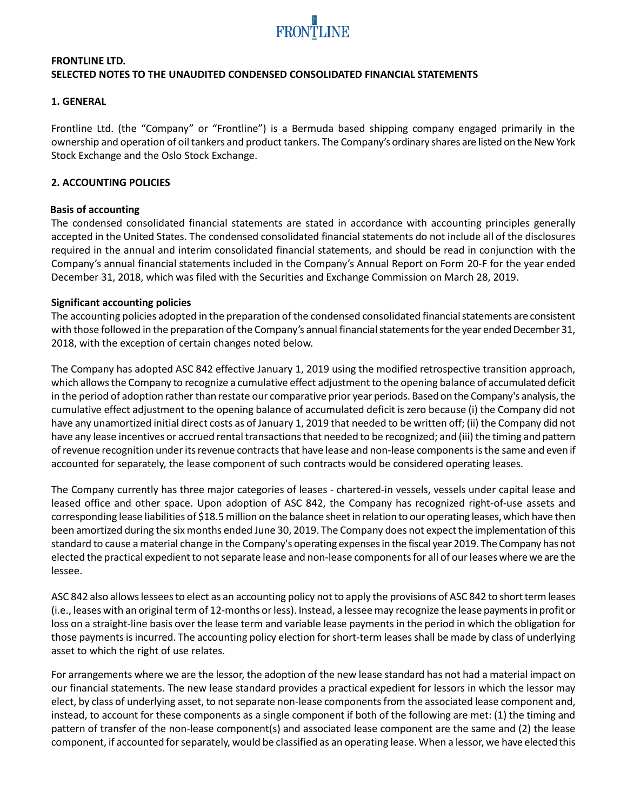

#### **FRONTLINE LTD. SELECTED NOTES TO THE UNAUDITED CONDENSED CONSOLIDATED FINANCIAL STATEMENTS**

#### **1. GENERAL**

Frontline Ltd. (the "Company" or "Frontline") is a Bermuda based shipping company engaged primarily in the ownership and operation of oil tankers and product tankers. The Company's ordinary shares are listed on the New York Stock Exchange and the Oslo Stock Exchange.

#### **2. ACCOUNTING POLICIES**

#### **Basis of accounting**

The condensed consolidated financial statements are stated in accordance with accounting principles generally accepted in the United States. The condensed consolidated financial statements do not include all of the disclosures required in the annual and interim consolidated financial statements, and should be read in conjunction with the Company's annual financial statements included in the Company's Annual Report on Form 20-F for the year ended December 31, 2018, which was filed with the Securities and Exchange Commission on March 28, 2019.

#### **Significant accounting policies**

The accounting policies adopted in the preparation of the condensed consolidated financial statements are consistent with those followed in the preparation of the Company's annual financial statements for the year ended December 31, 2018, with the exception of certain changes noted below.

The Company has adopted ASC 842 effective January 1, 2019 using the modified retrospective transition approach, which allows the Company to recognize a cumulative effect adjustment to the opening balance of accumulated deficit in the period of adoption rather than restate our comparative prior year periods. Based on the Company's analysis, the cumulative effect adjustment to the opening balance of accumulated deficit is zero because (i) the Company did not have any unamortized initial direct costs as of January 1, 2019 that needed to be written off; (ii) the Company did not have any lease incentives or accrued rental transactions that needed to be recognized; and (iii) the timing and pattern of revenue recognition under its revenue contracts that have lease and non-lease components is the same and even if accounted for separately, the lease component of such contracts would be considered operating leases.

The Company currently has three major categories of leases - chartered-in vessels, vessels under capital lease and leased office and other space. Upon adoption of ASC 842, the Company has recognized right-of-use assets and corresponding lease liabilities of \$18.5 million on the balance sheet in relation to our operating leases, which have then been amortized during the six months ended June 30, 2019. The Company does not expect the implementation of this standard to cause a material change in the Company's operating expenses in the fiscal year 2019. The Company has not elected the practical expedient to not separate lease and non-lease components for all of our leases where we are the lessee.

ASC 842 also allows lessees to elect as an accounting policy not to apply the provisions of ASC 842 to short term leases (i.e., leases with an original term of 12-months or less). Instead, a lessee may recognize the lease payments in profit or loss on a straight-line basis over the lease term and variable lease payments in the period in which the obligation for those payments is incurred. The accounting policy election for short-term leases shall be made by class of underlying asset to which the right of use relates.

For arrangements where we are the lessor, the adoption of the new lease standard has not had a material impact on our financial statements. The new lease standard provides a practical expedient for lessors in which the lessor may elect, by class of underlying asset, to not separate non-lease components from the associated lease component and, instead, to account for these components as a single component if both of the following are met: (1) the timing and pattern of transfer of the non-lease component(s) and associated lease component are the same and (2) the lease component, if accounted for separately, would be classified as an operating lease. When a lessor, we have elected this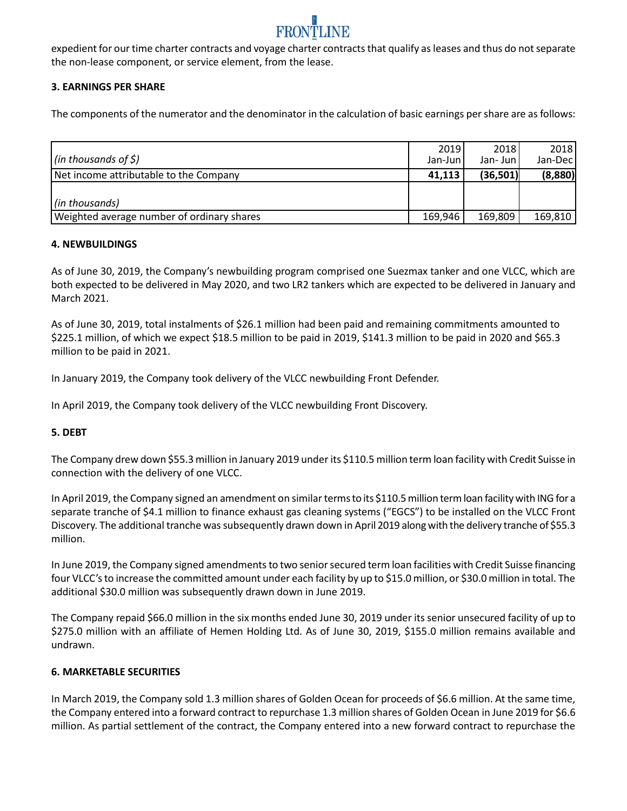expedient for our time charter contracts and voyage charter contracts that qualify as leases and thus do not separate the non-lease component, or service element, from the lease.

# **3. EARNINGS PER SHARE**

The components of the numerator and the denominator in the calculation of basic earnings per share are as follows:

|                                            | 2019      | 2018     | 2018     |
|--------------------------------------------|-----------|----------|----------|
| $\int$ (in thousands of \$)                | Jan-Jun I | Jan-Junl | Jan-Decl |
| Net income attributable to the Company     | 41,113    | (36,501) | (8,880)  |
|                                            |           |          |          |
| (in thousands)                             |           |          |          |
| Weighted average number of ordinary shares | 169,946   | 169,809  | 169,810  |

## **4. NEWBUILDINGS**

As of June 30, 2019, the Company's newbuilding program comprised one Suezmax tanker and one VLCC, which are both expected to be delivered in May 2020, and two LR2 tankers which are expected to be delivered in January and March 2021.

As of June 30, 2019, total instalments of \$26.1 million had been paid and remaining commitments amounted to \$225.1 million, of which we expect \$18.5 million to be paid in 2019, \$141.3 million to be paid in 2020 and \$65.3 million to be paid in 2021.

In January 2019, the Company took delivery of the VLCC newbuilding Front Defender.

In April 2019, the Company took delivery of the VLCC newbuilding Front Discovery.

## **5. DEBT**

The Company drew down \$55.3million in January 2019 under its \$110.5 million term loan facility with Credit Suisse in connection with the delivery of one VLCC.

In April 2019, the Company signed an amendment on similar terms to its \$110.5 million term loan facility with ING for a separate tranche of \$4.1 million to finance exhaust gas cleaning systems ("EGCS") to be installed on the VLCC Front Discovery. The additional tranche was subsequently drawn down in April 2019 along with the delivery tranche of \$55.3 million.

In June 2019, the Company signed amendments to two senior secured term loan facilities with Credit Suisse financing four VLCC's to increase the committed amount under each facility by up to \$15.0 million, or \$30.0 million in total. The additional \$30.0 million was subsequently drawn down in June 2019.

The Company repaid \$66.0 million in the six months ended June 30, 2019 under its senior unsecured facility of up to \$275.0 million with an affiliate of Hemen Holding Ltd. As of June 30, 2019, \$155.0 million remains available and undrawn.

## **6. MARKETABLE SECURITIES**

In March 2019, the Company sold 1.3 million shares of Golden Ocean for proceeds of \$6.6 million. At the same time, the Company entered into a forward contract to repurchase 1.3 million shares of Golden Ocean in June 2019 for \$6.6 million. As partial settlement of the contract, the Company entered into a new forward contract to repurchase the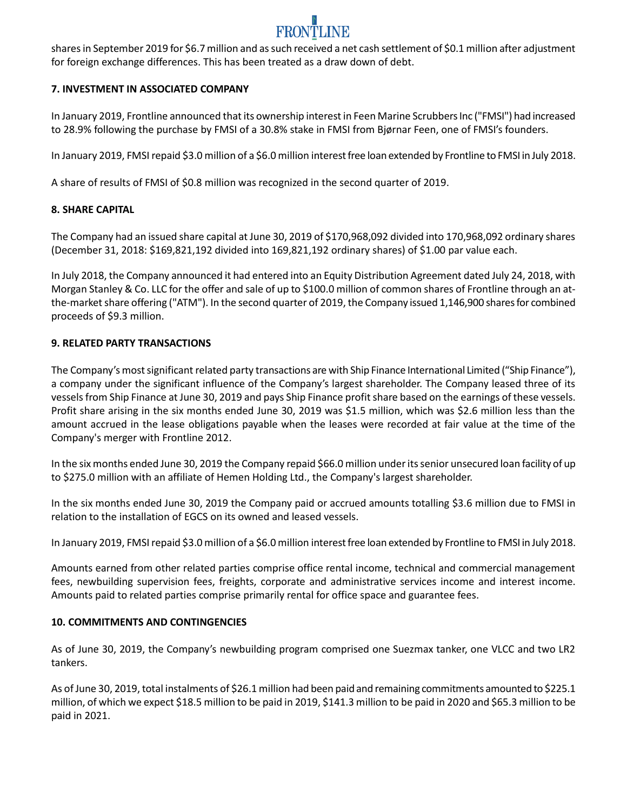shares in September 2019 for \$6.7 million and as such received a net cash settlement of \$0.1 million after adjustment for foreign exchange differences. This has been treated as a draw down of debt.

# **7. INVESTMENT IN ASSOCIATED COMPANY**

In January 2019, Frontline announced that its ownership interest in Feen Marine Scrubbers Inc ("FMSI") had increased to 28.9% following the purchase by FMSI of a 30.8% stake in FMSI from Bjørnar Feen, one of FMSI's founders.

In January 2019, FMSI repaid \$3.0 million of a \$6.0 million interest free loan extended by Frontline to FMSI in July 2018.

A share of results of FMSI of \$0.8 million was recognized in the second quarter of 2019.

# **8. SHARE CAPITAL**

The Company had an issued share capital at June 30, 2019 of \$170,968,092 divided into 170,968,092 ordinary shares (December 31, 2018: \$169,821,192 divided into 169,821,192 ordinary shares) of \$1.00 par value each.

In July 2018, the Company announced it had entered into an Equity Distribution Agreement dated July 24, 2018, with Morgan Stanley & Co. LLC for the offer and sale of up to \$100.0 million of common shares of Frontline through an atthe-market share offering ("ATM"). In the second quarter of 2019, the Company issued 1,146,900 shares for combined proceeds of \$9.3 million.

## **9. RELATED PARTY TRANSACTIONS**

The Company's most significant related party transactions are with Ship Finance International Limited ("Ship Finance"), a company under the significant influence of the Company's largest shareholder. The Company leased three of its vessels from Ship Finance at June 30, 2019 and pays Ship Finance profit share based on the earnings of these vessels. Profit share arising in the six months ended June 30, 2019 was \$1.5 million, which was \$2.6 million less than the amount accrued in the lease obligations payable when the leases were recorded at fair value at the time of the Company's merger with Frontline 2012.

In the six months ended June 30, 2019 the Company repaid \$66.0 million under its senior unsecured loan facility of up to \$275.0 million with an affiliate of Hemen Holding Ltd., the Company's largest shareholder.

In the six months ended June 30, 2019 the Company paid or accrued amounts totalling \$3.6 million due to FMSI in relation to the installation of EGCS on its owned and leased vessels.

In January 2019, FMSI repaid \$3.0 million of a \$6.0 million interest free loan extended by Frontline to FMSI in July 2018.

Amounts earned from other related parties comprise office rental income, technical and commercial management fees, newbuilding supervision fees, freights, corporate and administrative services income and interest income. Amounts paid to related parties comprise primarily rental for office space and guarantee fees.

## **10. COMMITMENTS AND CONTINGENCIES**

As of June 30, 2019, the Company's newbuilding program comprised one Suezmax tanker, one VLCC and two LR2 tankers.

As of June 30, 2019, total instalments of \$26.1 million had been paid and remaining commitments amounted to \$225.1 million, of which we expect \$18.5 million to be paid in 2019, \$141.3 million to be paid in 2020 and \$65.3 million to be paid in 2021.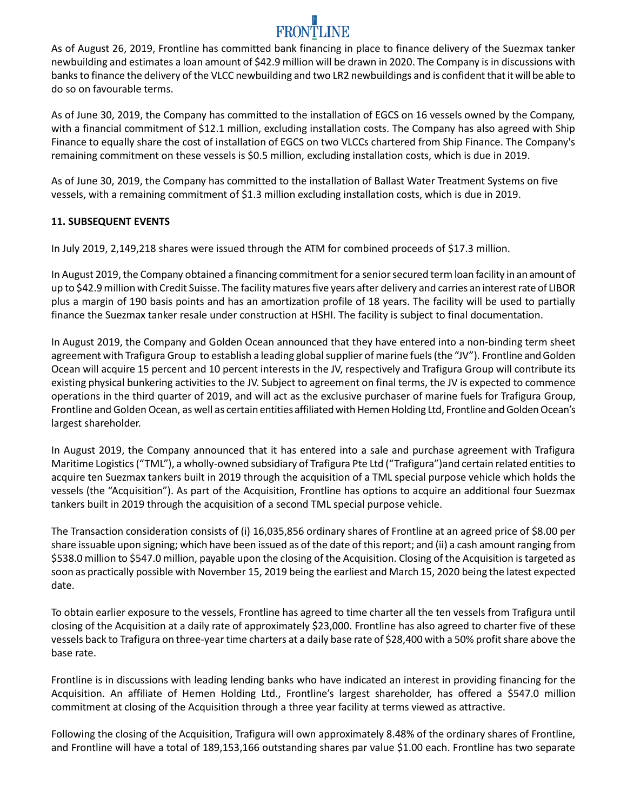

As of August 26, 2019, Frontline has committed bank financing in place to finance delivery of the Suezmax tanker newbuilding and estimates a loan amount of \$42.9 million will be drawn in 2020. The Company is in discussions with banks to finance the delivery of the VLCC newbuilding and two LR2 newbuildings and is confident that it will be able to do so on favourable terms.

As of June 30, 2019, the Company has committed to the installation of EGCS on 16 vessels owned by the Company, with a financial commitment of \$12.1 million, excluding installation costs. The Company has also agreed with Ship Finance to equally share the cost of installation of EGCS on two VLCCs chartered from Ship Finance. The Company's remaining commitment on these vessels is \$0.5 million, excluding installation costs, which is due in 2019.

As of June 30, 2019, the Company has committed to the installation of Ballast Water Treatment Systems on five vessels, with a remaining commitment of \$1.3 million excluding installation costs, which is due in 2019.

# **11. SUBSEQUENT EVENTS**

In July 2019, 2,149,218 shares were issued through the ATM for combined proceeds of \$17.3 million.

In August 2019, the Company obtained a financing commitment for a senior secured term loan facility in an amount of up to \$42.9 million with Credit Suisse. The facility matures five years after delivery and carries an interest rate of LIBOR plus a margin of 190 basis points and has an amortization profile of 18 years. The facility will be used to partially finance the Suezmax tanker resale under construction at HSHI. The facility is subject to final documentation.

In August 2019, the Company and Golden Ocean announced that they have entered into a non-binding term sheet agreement with Trafigura Group to establish a leading global supplier of marine fuels (the "JV"). Frontline and Golden Ocean will acquire 15 percent and 10 percent interests in the JV, respectively and Trafigura Group will contribute its existing physical bunkering activities to the JV. Subject to agreement on final terms, the JV is expected to commence operations in the third quarter of 2019, and will act as the exclusive purchaser of marine fuels for Trafigura Group, Frontline and Golden Ocean, as well as certain entities affiliated with Hemen Holding Ltd, Frontline and Golden Ocean's largest shareholder.

In August 2019, the Company announced that it has entered into a sale and purchase agreement with Trafigura Maritime Logistics ("TML"), a wholly-owned subsidiary of Trafigura Pte Ltd ("Trafigura")and certain related entities to acquire ten Suezmax tankers built in 2019 through the acquisition of a TML special purpose vehicle which holds the vessels (the "Acquisition"). As part of the Acquisition, Frontline has options to acquire an additional four Suezmax tankers built in 2019 through the acquisition of a second TML special purpose vehicle.

The Transaction consideration consists of (i) 16,035,856 ordinary shares of Frontline at an agreed price of \$8.00 per share issuable upon signing; which have been issued as of the date of this report; and (ii) a cash amount ranging from \$538.0 million to \$547.0 million, payable upon the closing of the Acquisition. Closing of the Acquisition is targeted as soon as practically possible with November 15, 2019 being the earliest and March 15, 2020 being the latest expected date.

To obtain earlier exposure to the vessels, Frontline has agreed to time charter all the ten vessels from Trafigura until closing of the Acquisition at a daily rate of approximately \$23,000. Frontline has also agreed to charter five of these vessels back to Trafigura on three-year time charters at a daily base rate of \$28,400 with a 50% profit share above the base rate.

Frontline is in discussions with leading lending banks who have indicated an interest in providing financing for the Acquisition. An affiliate of Hemen Holding Ltd., Frontline's largest shareholder, has offered a \$547.0 million commitment at closing of the Acquisition through a three year facility at terms viewed as attractive.

Following the closing of the Acquisition, Trafigura will own approximately 8.48% of the ordinary shares of Frontline, and Frontline will have a total of 189,153,166 outstanding shares par value \$1.00 each. Frontline has two separate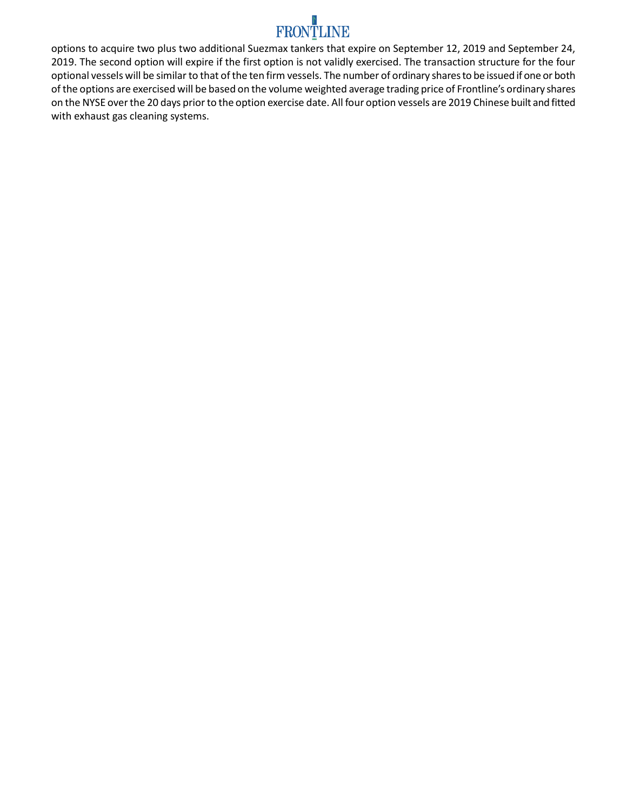

options to acquire two plus two additional Suezmax tankers that expire on September 12, 2019 and September 24, 2019. The second option will expire if the first option is not validly exercised. The transaction structure for the four optional vessels will be similar to that of the ten firm vessels. The number of ordinary shares to be issued if one or both of the options are exercised will be based on the volume weighted average trading price of Frontline's ordinary shares on the NYSE over the 20 days prior to the option exercise date. All four option vessels are 2019 Chinese built and fitted with exhaust gas cleaning systems.